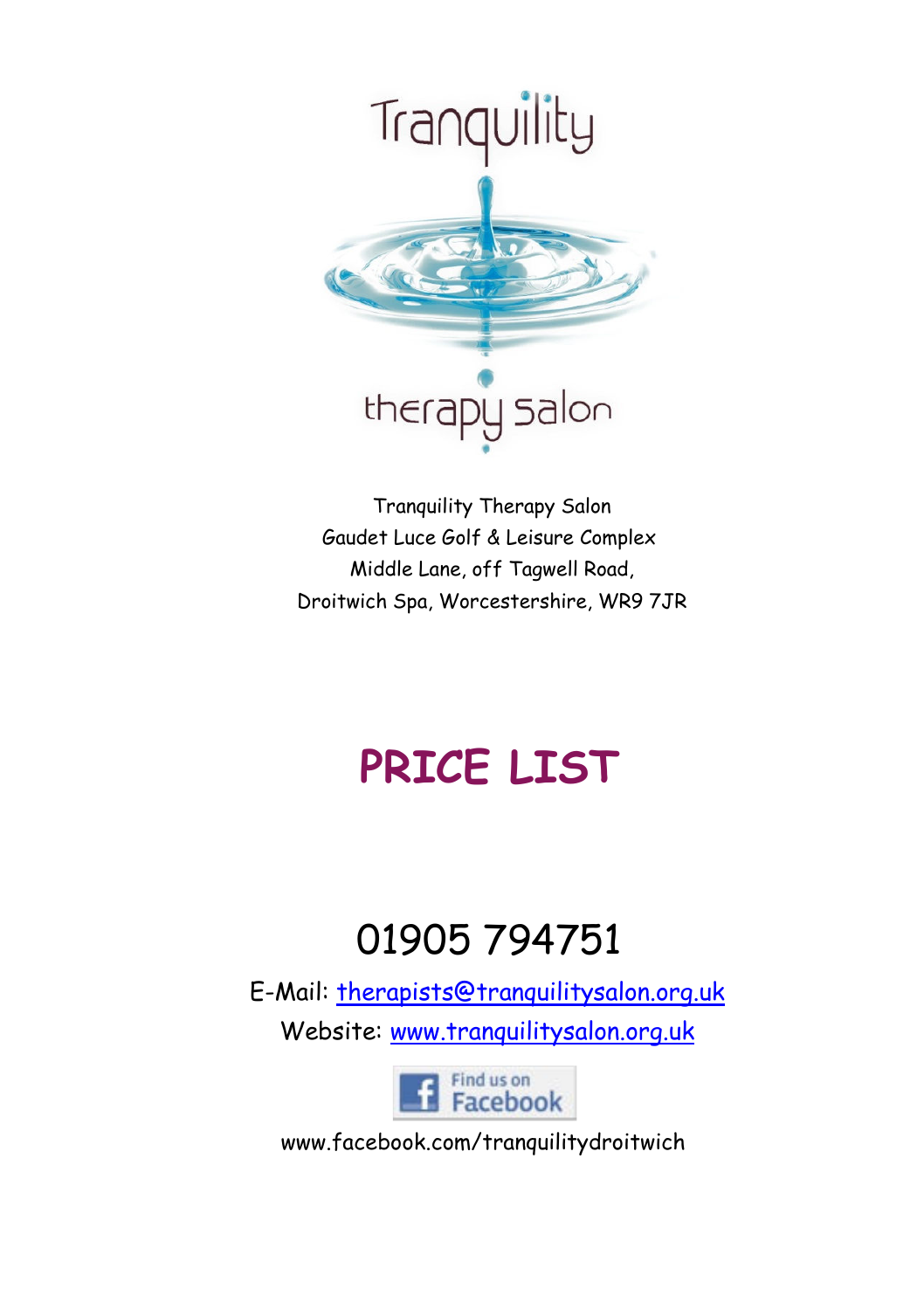

 Tranquility Therapy Salon Gaudet Luce Golf & Leisure Complex Middle Lane, off Tagwell Road, Droitwich Spa, Worcestershire, WR9 7JR

# **PRICE LIST**

# 01905 794751

 E-Mail: therapists@tranquilitysalon.org.uk Website: www.tranquilitysalon.org.uk



www.facebook.com/tranquilitydroitwich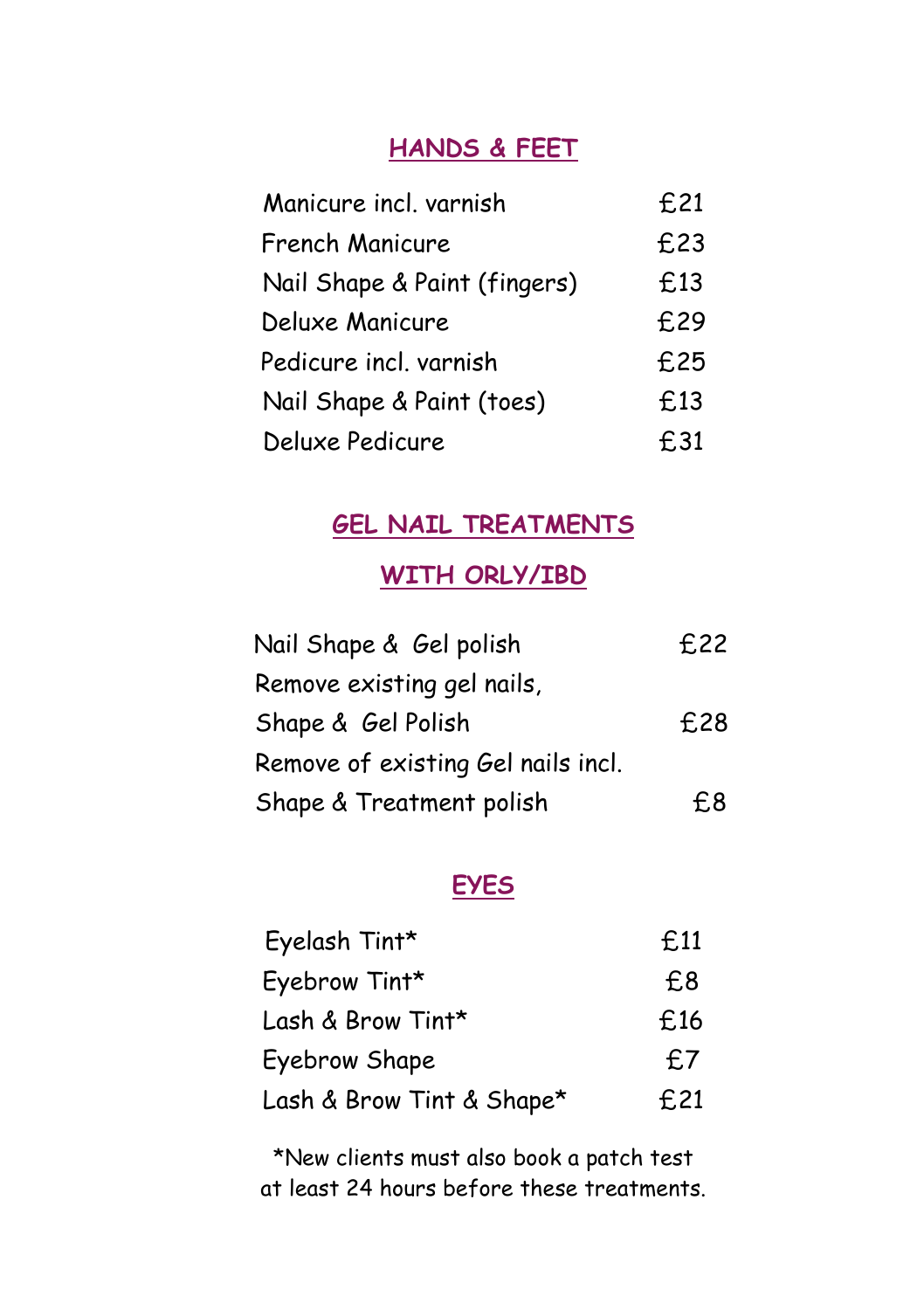#### **HANDS & FEET**

| Manicure incl. varnish       | £21 |
|------------------------------|-----|
| French Manicure              | £23 |
| Nail Shape & Paint (fingers) | £13 |
| Deluxe Manicure              | £29 |
| Pedicure incl. varnish       | £25 |
| Nail Shape & Paint (toes)    | £13 |
| Deluxe Pedicure              | £31 |

#### **GEL NAIL TREATMENTS**

# **WITH ORLY/IBD**

| Nail Shape & Gel polish            | £22 |
|------------------------------------|-----|
| Remove existing gel nails,         |     |
| Shape & Gel Polish                 | £28 |
| Remove of existing Gel nails incl. |     |
| Shape & Treatment polish           | £8  |

#### **EYES**

| Eyelash Tint*             | £11 |
|---------------------------|-----|
| Eyebrow Tint*             | £8  |
| Lash & Brow Tint*         | £16 |
| Eyebrow Shape             | £7  |
| Lash & Brow Tint & Shape* | £21 |

\*New clients must also book a patch test at least 24 hours before these treatments.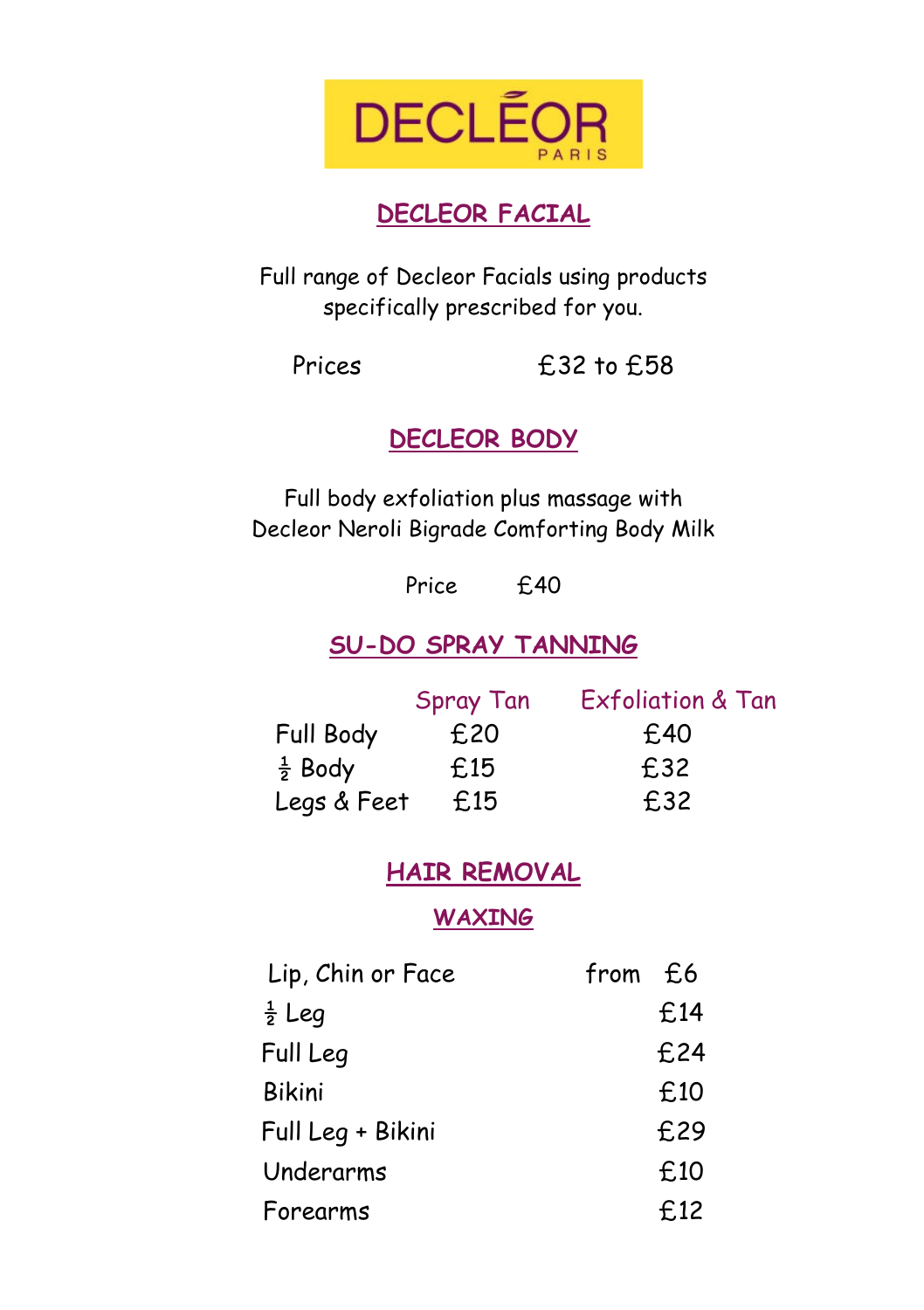

# **DECLEOR FACIAL**

Full range of Decleor Facials using products specifically prescribed for you.

Prices 
E32 to £58

**DECLEOR BODY**

Full body exfoliation plus massage with Decleor Neroli Bigrade Comforting Body Milk

Price £40

# **SU-DO SPRAY TANNING**

|                    | <b>Spray Tan</b> | Exfoliation & Tan |
|--------------------|------------------|-------------------|
| Full Body          | £20              | £40               |
| $\frac{1}{2}$ Body | £15              | £32               |
| Legs & Feet        | £15              | £32               |

### **HAIR REMOVAL**

**WAXING** 

| Lip, Chin or Face | from £6 |      |
|-------------------|---------|------|
| $rac{1}{2}$ Leg   |         | £14  |
| Full Leg          |         | £24  |
| <b>Bikini</b>     |         | £10  |
| Full Leg + Bikini |         | £29  |
| Underarms         |         | £10  |
| Forearms          |         | £.12 |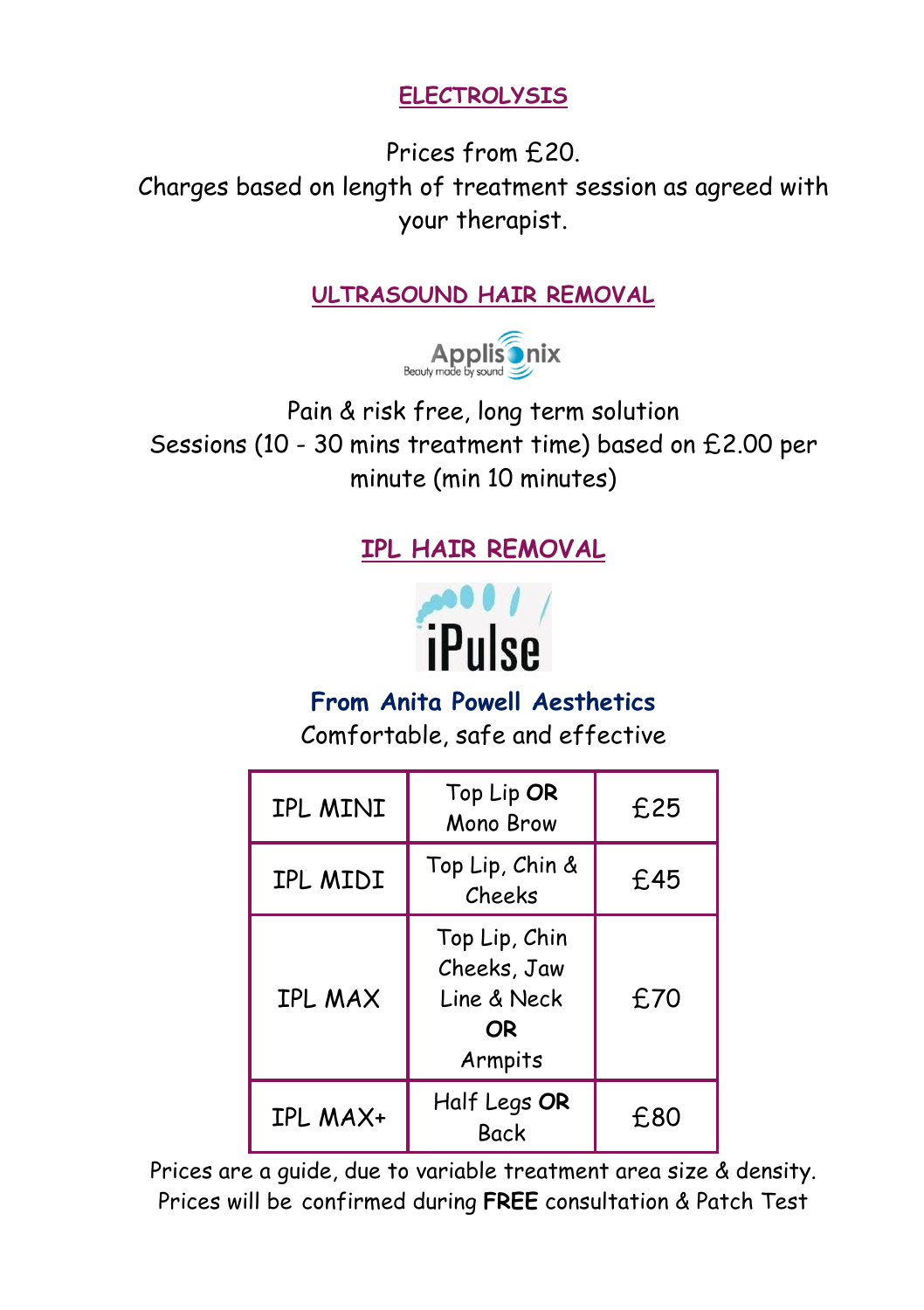**ELECTROLYSIS** 

Prices from £20. Charges based on length of treatment session as agreed with your therapist.

#### **ULTRASOUND HAIR REMOVAL**



Pain & risk free, long term solution Sessions (10 - 30 mins treatment time) based on £2.00 per minute (min 10 minutes)

# **IPL HAIR REMOVAL**



# **From Anita Powell Aesthetics**

Comfortable, safe and effective

| IPL MINI       | Top Lip OR<br>Mono Brow                                      | £25 |
|----------------|--------------------------------------------------------------|-----|
| IPL MIDI       | Top Lip, Chin &<br>Cheeks                                    | £45 |
| <b>IPL MAX</b> | Top Lip, Chin<br>Cheeks, Jaw<br>Line & Neck<br>OR<br>Armpits | £70 |
| IPL MAX+       | Half Legs OR<br><b>Back</b>                                  | £80 |

Prices are a guide, due to variable treatment area size & density. Prices will be confirmed during **FREE** consultation & Patch Test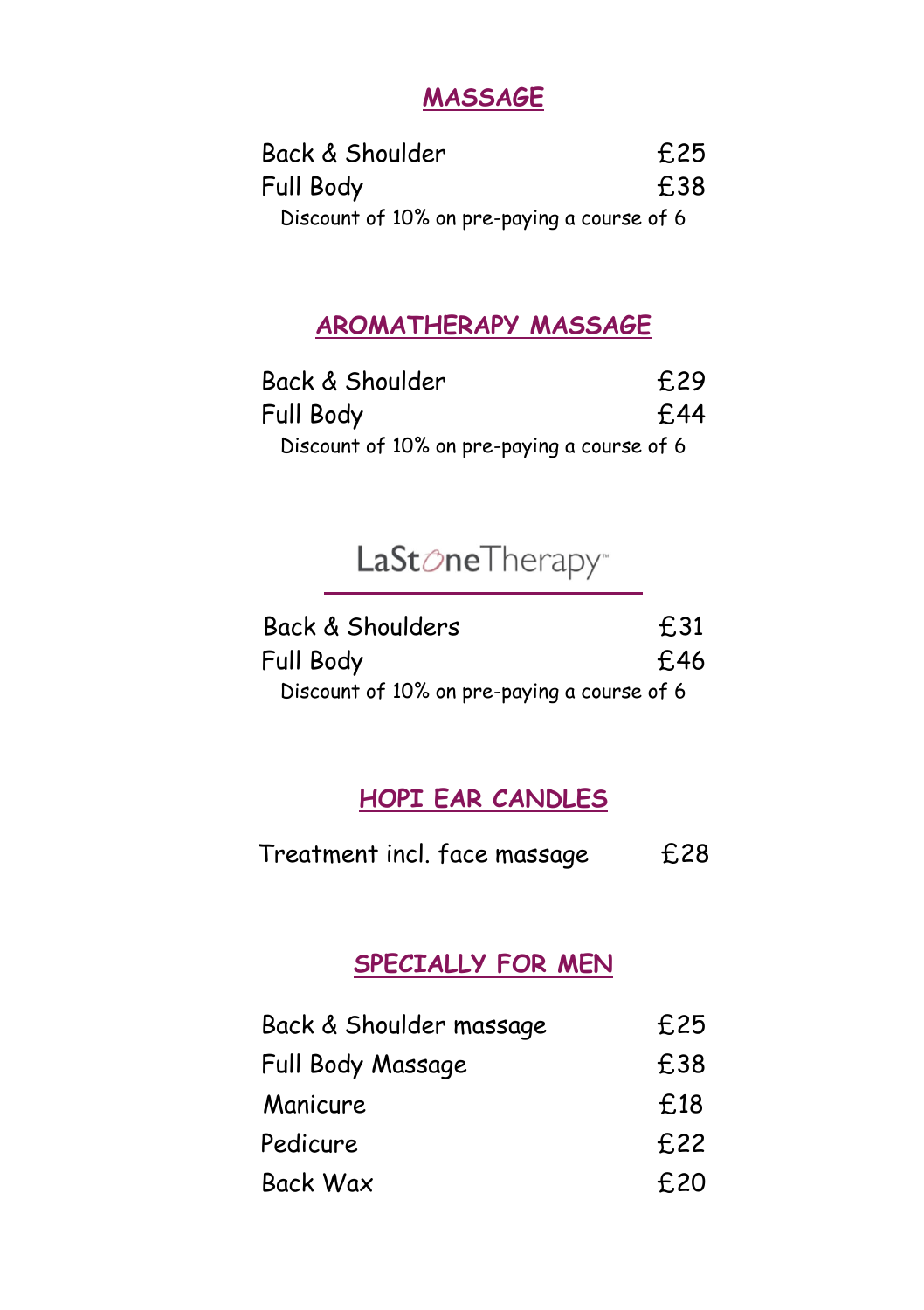## **MASSAGE**

| Back & Shoulder                             | £25 |
|---------------------------------------------|-----|
| Full Body                                   | £38 |
| Discount of 10% on pre-paying a course of 6 |     |

# **AROMATHERAPY MASSAGE**

| Back & Shoulder                             | £29 |
|---------------------------------------------|-----|
| Full Body                                   | £44 |
| Discount of 10% on pre-paying a course of 6 |     |

# LaStoneTherapy<sup>®</sup>

| Back & Shoulders                            | £31 |
|---------------------------------------------|-----|
| Full Body                                   | £46 |
| Discount of 10% on pre-paying a course of 6 |     |

#### **HOPI EAR CANDLES**

| Treatment incl. face massage | £28 |
|------------------------------|-----|
|------------------------------|-----|

#### **SPECIALLY FOR MEN**

| Back & Shoulder massage | £25 |
|-------------------------|-----|
| Full Body Massage       | £38 |
| Manicure                | £18 |
| Pedicure                | £22 |
| <b>Back Wax</b>         | £20 |